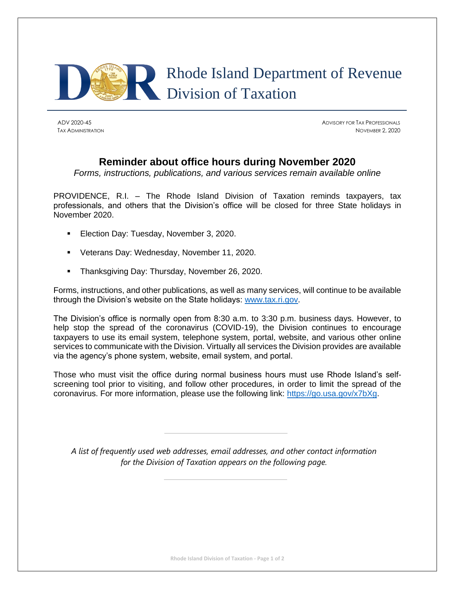

ADV 2020-45 ADVISORY FOR TAX PROFESSIONALS TAX ADMINISTRATION NOVEMBER 2, 2020

## **Reminder about office hours during November 2020**

*Forms, instructions, publications, and various services remain available online*

PROVIDENCE, R.I. – The Rhode Island Division of Taxation reminds taxpayers, tax professionals, and others that the Division's office will be closed for three State holidays in November 2020.

- Election Day: Tuesday, November 3, 2020.
- Veterans Day: Wednesday, November 11, 2020.
- **E** Thanksgiving Day: Thursday, November 26, 2020.

Forms, instructions, and other publications, as well as many services, will continue to be available through the Division's website on the State holidays: [www.tax.ri.gov.](http://www.tax.ri.gov/)

The Division's office is normally open from 8:30 a.m. to 3:30 p.m. business days. However, to help stop the spread of the coronavirus (COVID-19), the Division continues to encourage taxpayers to use its email system, telephone system, portal, website, and various other online services to communicate with the Division. Virtually all services the Division provides are available via the agency's phone system, website, email system, and portal.

Those who must visit the office during normal business hours must use Rhode Island's selfscreening tool prior to visiting, and follow other procedures, in order to limit the spread of the coronavirus. For more information, please use the following link: [https://go.usa.gov/x7bXg.](https://go.usa.gov/x7bXg)

*A list of frequently used web addresses, email addresses, and other contact information for the Division of Taxation appears on the following page.*